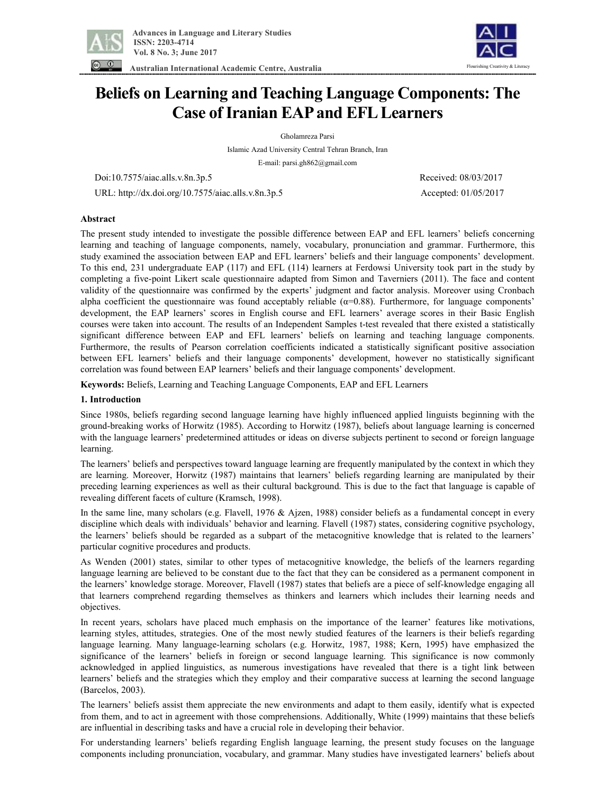

Flourishing Creativity & Literacy

 **Australian International Academic Centre, Australia** 

# **Beliefs on Learning and Teaching Language Components: The Case ofIranian EAPand EFLLearners**

Gholamreza Parsi

Islamic Azad University Central Tehran Branch, Iran E-mail: parsi.gh862@gmail.com

Doi:10.7575/aiac.alls.v.8n.3p.5 Received: 08/03/2017

URL: http://dx.doi.org/10.7575/aiac.alls.v.8n.3p.5 Accepted: 01/05/2017

## **Abstract**

The present study intended to investigate the possible difference between EAP and EFL learners' beliefs concerning learning and teaching of language components, namely, vocabulary, pronunciation and grammar. Furthermore, this study examined the association between EAP and EFL learners' beliefs and their language components' development. To this end, 231 undergraduate EAP (117) and EFL (114) learners at Ferdowsi University took part in the study by completing a five-point Likert scale questionnaire adapted from Simon and Taverniers (2011). The face and content validity of the questionnaire was confirmed by the experts' judgment and factor analysis. Moreover using Cronbach alpha coefficient the questionnaire was found acceptably reliable  $(\alpha=0.88)$ . Furthermore, for language components' development, the EAP learners' scores in English course and EFL learners' average scores in their Basic English courses were taken into account. The results of an Independent Samples t-test revealed that there existed a statistically significant difference between EAP and EFL learners' beliefs on learning and teaching language components. Furthermore, the results of Pearson correlation coefficients indicated a statistically significant positive association between EFL learners' beliefs and their language components' development, however no statistically significant correlation was found between EAP learners' beliefs and their language components' development.

**Keywords:** Beliefs, Learning and Teaching Language Components, EAP and EFL Learners

## **1. Introduction**

Since 1980s, beliefs regarding second language learning have highly influenced applied linguists beginning with the ground-breaking works of Horwitz (1985). According to Horwitz (1987), beliefs about language learning is concerned with the language learners' predetermined attitudes or ideas on diverse subjects pertinent to second or foreign language learning.

The learners' beliefs and perspectives toward language learning are frequently manipulated by the context in which they are learning. Moreover, Horwitz (1987) maintains that learners' beliefs regarding learning are manipulated by their preceding learning experiences as well as their cultural background. This is due to the fact that language is capable of revealing different facets of culture (Kramsch, 1998).

In the same line, many scholars (e.g. Flavell, 1976 & Ajzen, 1988) consider beliefs as a fundamental concept in every discipline which deals with individuals' behavior and learning. Flavell (1987) states, considering cognitive psychology, the learners' beliefs should be regarded as a subpart of the metacognitive knowledge that is related to the learners' particular cognitive procedures and products.

As Wenden (2001) states, similar to other types of metacognitive knowledge, the beliefs of the learners regarding language learning are believed to be constant due to the fact that they can be considered as a permanent component in the learners' knowledge storage. Moreover, Flavell (1987) states that beliefs are a piece of self-knowledge engaging all that learners comprehend regarding themselves as thinkers and learners which includes their learning needs and objectives.

In recent years, scholars have placed much emphasis on the importance of the learner' features like motivations, learning styles, attitudes, strategies. One of the most newly studied features of the learners is their beliefs regarding language learning. Many language-learning scholars (e.g. Horwitz, 1987, 1988; Kern, 1995) have emphasized the significance of the learners' beliefs in foreign or second language learning. This significance is now commonly acknowledged in applied linguistics, as numerous investigations have revealed that there is a tight link between learners' beliefs and the strategies which they employ and their comparative success at learning the second language (Barcelos, 2003).

The learners' beliefs assist them appreciate the new environments and adapt to them easily, identify what is expected from them, and to act in agreement with those comprehensions. Additionally, White (1999) maintains that these beliefs are influential in describing tasks and have a crucial role in developing their behavior.

For understanding learners' beliefs regarding English language learning, the present study focuses on the language components including pronunciation, vocabulary, and grammar. Many studies have investigated learners' beliefs about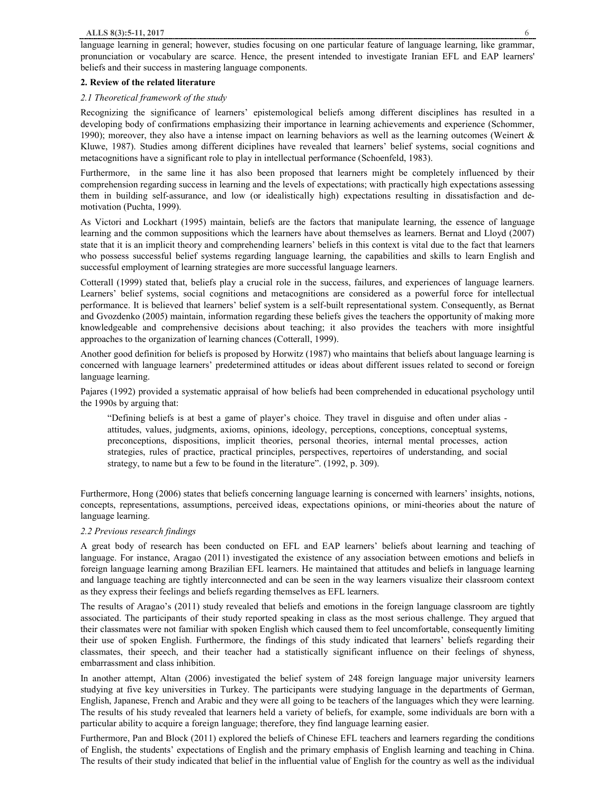## **2. Review of the related literature**

## *2.1 Theoretical framework of the study*

Recognizing the significance of learners' epistemological beliefs among different disciplines has resulted in a developing body of confirmations emphasizing their importance in learning achievements and experience (Schommer, 1990); moreover, they also have a intense impact on learning behaviors as well as the learning outcomes (Weinert  $\&$ Kluwe, 1987). Studies among different diciplines have revealed that learners' belief systems, social cognitions and metacognitions have a significant role to play in intellectual performance (Schoenfeld, 1983).

Furthermore, in the same line it has also been proposed that learners might be completely influenced by their comprehension regarding success in learning and the levels of expectations; with practically high expectations assessing them in building self-assurance, and low (or idealistically high) expectations resulting in dissatisfaction and demotivation (Puchta, 1999).

As Victori and Lockhart (1995) maintain, beliefs are the factors that manipulate learning, the essence of language learning and the common suppositions which the learners have about themselves as learners. Bernat and Lloyd (2007) state that it is an implicit theory and comprehending learners' beliefs in this context is vital due to the fact that learners who possess successful belief systems regarding language learning, the capabilities and skills to learn English and successful employment of learning strategies are more successful language learners.

Cotterall (1999) stated that, beliefs play a crucial role in the success, failures, and experiences of language learners. Learners' belief systems, social cognitions and metacognitions are considered as a powerful force for intellectual performance. It is believed that learners' belief system is a self-built representational system. Consequently, as Bernat and Gvozdenko (2005) maintain, information regarding these beliefs gives the teachers the opportunity of making more knowledgeable and comprehensive decisions about teaching; it also provides the teachers with more insightful approaches to the organization of learning chances (Cotterall, 1999).

Another good definition for beliefs is proposed by Horwitz (1987) who maintains that beliefs about language learning is concerned with language learners' predetermined attitudes or ideas about different issues related to second or foreign language learning.

Pajares (1992) provided a systematic appraisal of how beliefs had been comprehended in educational psychology until the 1990s by arguing that:

"Defining beliefs is at best a game of player's choice. They travel in disguise and often under alias attitudes, values, judgments, axioms, opinions, ideology, perceptions, conceptions, conceptual systems, preconceptions, dispositions, implicit theories, personal theories, internal mental processes, action strategies, rules of practice, practical principles, perspectives, repertoires of understanding, and social strategy, to name but a few to be found in the literature". (1992, p. 309).

Furthermore, Hong (2006) states that beliefs concerning language learning is concerned with learners' insights, notions, concepts, representations, assumptions, perceived ideas, expectations opinions, or mini-theories about the nature of language learning.

# *2.2 Previous research findings*

A great body of research has been conducted on EFL and EAP learners' beliefs about learning and teaching of language. For instance, Aragao (2011) investigated the existence of any association between emotions and beliefs in foreign language learning among Brazilian EFL learners. He maintained that attitudes and beliefs in language learning and language teaching are tightly interconnected and can be seen in the way learners visualize their classroom context as they express their feelings and beliefs regarding themselves as EFL learners.

The results of Aragao's (2011) study revealed that beliefs and emotions in the foreign language classroom are tightly associated. The participants of their study reported speaking in class as the most serious challenge. They argued that their classmates were not familiar with spoken English which caused them to feel uncomfortable, consequently limiting their use of spoken English. Furthermore, the findings of this study indicated that learners' beliefs regarding their classmates, their speech, and their teacher had a statistically significant influence on their feelings of shyness, embarrassment and class inhibition.

In another attempt, Altan (2006) investigated the belief system of 248 foreign language major university learners studying at five key universities in Turkey. The participants were studying language in the departments of German, English, Japanese, French and Arabic and they were all going to be teachers of the languages which they were learning. The results of his study revealed that learners held a variety of beliefs, for example, some individuals are born with a particular ability to acquire a foreign language; therefore, they find language learning easier.

Furthermore, Pan and Block (2011) explored the beliefs of Chinese EFL teachers and learners regarding the conditions of English, the students' expectations of English and the primary emphasis of English learning and teaching in China. The results of their study indicated that belief in the influential value of English for the country as well as the individual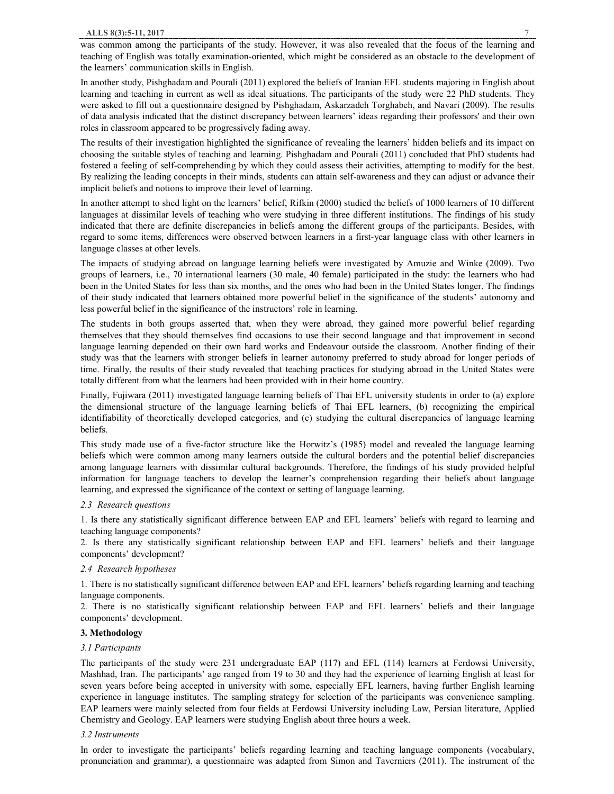In another study, Pishghadam and Pourali (2011) explored the beliefs of Iranian EFL students majoring in English about learning and teaching in current as well as ideal situations. The participants of the study were 22 PhD students. They were asked to fill out a questionnaire designed by Pishghadam, Askarzadeh Torghabeh, and Navari (2009). The results of data analysis indicated that the distinct discrepancy between learners' ideas regarding their professors' and their own roles in classroom appeared to be progressively fading away.

The results of their investigation highlighted the significance of revealing the learners' hidden beliefs and its impact on choosing the suitable styles of teaching and learning. Pishghadam and Pourali (2011) concluded that PhD students had fostered a feeling of self-comprehending by which they could assess their activities, attempting to modify for the best. By realizing the leading concepts in their minds, students can attain self-awareness and they can adjust or advance their implicit beliefs and notions to improve their level of learning.

In another attempt to shed light on the learners' belief, Rifkin (2000) studied the beliefs of 1000 learners of 10 different languages at dissimilar levels of teaching who were studying in three different institutions. The findings of his study indicated that there are definite discrepancies in beliefs among the different groups of the participants. Besides, with regard to some items, differences were observed between learners in a first-year language class with other learners in language classes at other levels.

The impacts of studying abroad on language learning beliefs were investigated by Amuzie and Winke (2009). Two groups of learners, i.e., 70 international learners (30 male, 40 female) participated in the study: the learners who had been in the United States for less than six months, and the ones who had been in the United States longer. The findings of their study indicated that learners obtained more powerful belief in the significance of the students' autonomy and less powerful belief in the significance of the instructors' role in learning.

The students in both groups asserted that, when they were abroad, they gained more powerful belief regarding themselves that they should themselves find occasions to use their second language and that improvement in second language learning depended on their own hard works and Endeavour outside the classroom. Another finding of their study was that the learners with stronger beliefs in learner autonomy preferred to study abroad for longer periods of time. Finally, the results of their study revealed that teaching practices for studying abroad in the United States were totally different from what the learners had been provided with in their home country.

Finally, Fujiwara (2011) investigated language learning beliefs of Thai EFL university students in order to (a) explore the dimensional structure of the language learning beliefs of Thai EFL learners, (b) recognizing the empirical identifiability of theoretically developed categories, and (c) studying the cultural discrepancies of language learning beliefs.

This study made use of a five-factor structure like the Horwitz's (1985) model and revealed the language learning beliefs which were common among many learners outside the cultural borders and the potential belief discrepancies among language learners with dissimilar cultural backgrounds. Therefore, the findings of his study provided helpful information for language teachers to develop the learner's comprehension regarding their beliefs about language learning, and expressed the significance of the context or setting of language learning.

# *2.3 Research questions*

1. Is there any statistically significant difference between EAP and EFL learners' beliefs with regard to learning and teaching language components?

2. Is there any statistically significant relationship between EAP and EFL learners' beliefs and their language components' development?

# *2.4 Research hypotheses*

1. There is no statistically significant difference between EAP and EFL learners' beliefs regarding learning and teaching language components.

2. There is no statistically significant relationship between EAP and EFL learners' beliefs and their language components' development.

# **3. Methodology**

#### *3.1 Participants*

The participants of the study were 231 undergraduate EAP (117) and EFL (114) learners at Ferdowsi University, Mashhad, Iran. The participants' age ranged from 19 to 30 and they had the experience of learning English at least for seven years before being accepted in university with some, especially EFL learners, having further English learning experience in language institutes. The sampling strategy for selection of the participants was convenience sampling. EAP learners were mainly selected from four fields at Ferdowsi University including Law, Persian literature, Applied Chemistry and Geology. EAP learners were studying English about three hours a week.

#### *3.2 Instruments*

In order to investigate the participants' beliefs regarding learning and teaching language components (vocabulary, pronunciation and grammar), a questionnaire was adapted from Simon and Taverniers (2011). The instrument of the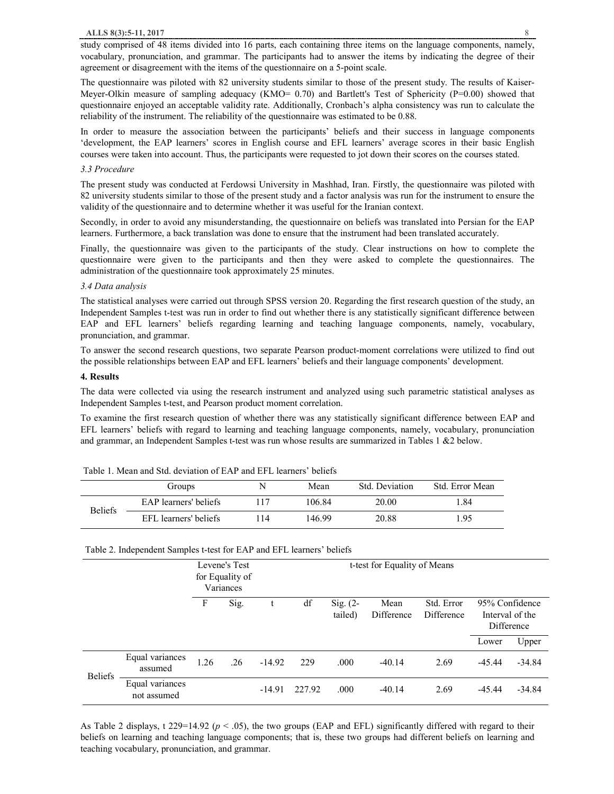study comprised of 48 items divided into 16 parts, each containing three items on the language components, namely, vocabulary, pronunciation, and grammar. The participants had to answer the items by indicating the degree of their agreement or disagreement with the items of the questionnaire on a 5-point scale.

The questionnaire was piloted with 82 university students similar to those of the present study. The results of Kaiser-Meyer-Olkin measure of sampling adequacy (KMO= 0.70) and Bartlett's Test of Sphericity (P=0.00) showed that questionnaire enjoyed an acceptable validity rate. Additionally, Cronbach's alpha consistency was run to calculate the reliability of the instrument. The reliability of the questionnaire was estimated to be 0.88.

In order to measure the association between the participants' beliefs and their success in language components 'development, the EAP learners' scores in English course and EFL learners' average scores in their basic English courses were taken into account. Thus, the participants were requested to jot down their scores on the courses stated.

#### *3.3 Procedure*

The present study was conducted at Ferdowsi University in Mashhad, Iran. Firstly, the questionnaire was piloted with 82 university students similar to those of the present study and a factor analysis was run for the instrument to ensure the validity of the questionnaire and to determine whether it was useful for the Iranian context.

Secondly, in order to avoid any misunderstanding, the questionnaire on beliefs was translated into Persian for the EAP learners. Furthermore, a back translation was done to ensure that the instrument had been translated accurately.

Finally, the questionnaire was given to the participants of the study. Clear instructions on how to complete the questionnaire were given to the participants and then they were asked to complete the questionnaires. The administration of the questionnaire took approximately 25 minutes.

#### *3.4 Data analysis*

The statistical analyses were carried out through SPSS version 20. Regarding the first research question of the study, an Independent Samples t-test was run in order to find out whether there is any statistically significant difference between EAP and EFL learners' beliefs regarding learning and teaching language components, namely, vocabulary, pronunciation, and grammar.

To answer the second research questions, two separate Pearson product-moment correlations were utilized to find out the possible relationships between EAP and EFL learners' beliefs and their language components' development.

#### **4. Results**

The data were collected via using the research instrument and analyzed using such parametric statistical analyses as Independent Samples t-test, and Pearson product moment correlation.

To examine the first research question of whether there was any statistically significant difference between EAP and EFL learners' beliefs with regard to learning and teaching language components, namely, vocabulary, pronunciation and grammar, an Independent Samples t-test was run whose results are summarized in Tables 1 &2 below.

|                | Groups                |    | Mean   | Std. Deviation | Std. Error Mean |
|----------------|-----------------------|----|--------|----------------|-----------------|
| <b>Beliefs</b> | EAP learners' beliefs |    | 106.84 | 20.00          | .84             |
|                | EFL learners' beliefs | 14 | 146.99 | 20.88          | l.95            |

Table 1. Mean and Std. deviation of EAP and EFL learners' beliefs

#### Table 2. Independent Samples t-test for EAP and EFL learners' beliefs

|                |                                |      | Levene's Test<br>for Equality of<br>Variances |          | t-test for Equality of Means |                       |                    |                          |                                                 |          |
|----------------|--------------------------------|------|-----------------------------------------------|----------|------------------------------|-----------------------|--------------------|--------------------------|-------------------------------------------------|----------|
|                |                                | F    | Sig.                                          | t        | df                           | Sig. $(2-$<br>tailed) | Mean<br>Difference | Std. Error<br>Difference | 95% Confidence<br>Interval of the<br>Difference |          |
|                |                                |      |                                               |          |                              |                       |                    |                          | Lower                                           | Upper    |
| <b>Beliefs</b> | Equal variances<br>assumed     | 1.26 | .26                                           | $-14.92$ | 229                          | .000                  | $-40.14$           | 2.69                     | $-45.44$                                        | $-34.84$ |
|                | Equal variances<br>not assumed |      |                                               | $-14.91$ | 227.92                       | .000                  | $-40.14$           | 2.69                     | $-45.44$                                        | $-34.84$ |

As Table 2 displays, t 229=14.92 ( $p < .05$ ), the two groups (EAP and EFL) significantly differed with regard to their beliefs on learning and teaching language components; that is, these two groups had different beliefs on learning and teaching vocabulary, pronunciation, and grammar.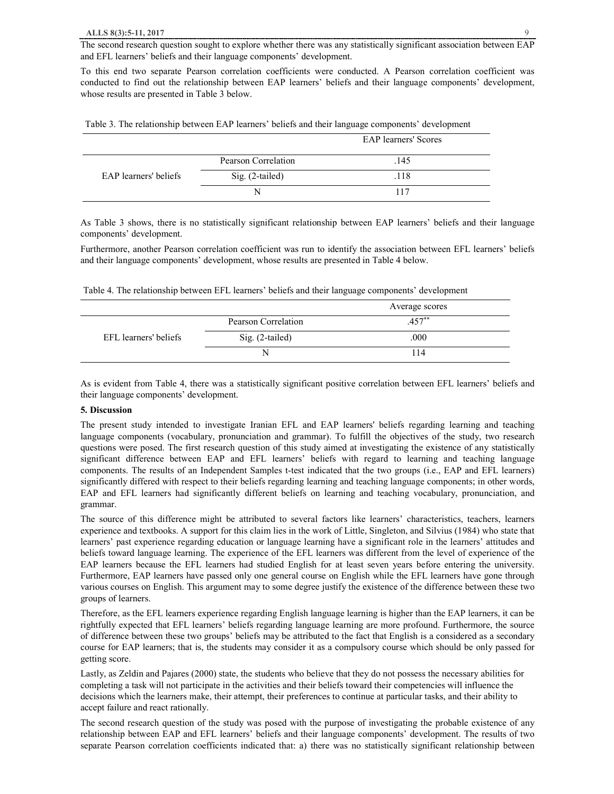The second research question sought to explore whether there was any statistically significant association between EAP and EFL learners' beliefs and their language components' development.

To this end two separate Pearson correlation coefficients were conducted. A Pearson correlation coefficient was conducted to find out the relationship between EAP learners' beliefs and their language components' development, whose results are presented in Table 3 below.

| Table 3. The relationship between EAP learners' beliefs and their language components' development |  |  |
|----------------------------------------------------------------------------------------------------|--|--|
|                                                                                                    |  |  |

|                       |                     | <b>EAP</b> learners' Scores |
|-----------------------|---------------------|-----------------------------|
|                       | Pearson Correlation | .145                        |
| EAP learners' beliefs | Sig. (2-tailed)     | .118                        |
|                       |                     | 117                         |

As Table 3 shows, there is no statistically significant relationship between EAP learners' beliefs and their language components' development.

Furthermore, another Pearson correlation coefficient was run to identify the association between EFL learners' beliefs and their language components' development, whose results are presented in Table 4 below.

Table 4. The relationship between EFL learners' beliefs and their language components' development

|                       |                     | Average scores |  |
|-----------------------|---------------------|----------------|--|
|                       | Pearson Correlation | $.457**$       |  |
| EFL learners' beliefs | Sig. (2-tailed)     | .000           |  |
|                       |                     | 114            |  |

As is evident from Table 4, there was a statistically significant positive correlation between EFL learners' beliefs and their language components' development.

#### **5. Discussion**

The present study intended to investigate Iranian EFL and EAP learners' beliefs regarding learning and teaching language components (vocabulary, pronunciation and grammar). To fulfill the objectives of the study, two research questions were posed. The first research question of this study aimed at investigating the existence of any statistically significant difference between EAP and EFL learners' beliefs with regard to learning and teaching language components. The results of an Independent Samples t-test indicated that the two groups (i.e., EAP and EFL learners) significantly differed with respect to their beliefs regarding learning and teaching language components; in other words, EAP and EFL learners had significantly different beliefs on learning and teaching vocabulary, pronunciation, and grammar.

The source of this difference might be attributed to several factors like learners' characteristics, teachers, learners experience and textbooks. A support for this claim lies in the work of Little, Singleton, and Silvius (1984) who state that learners' past experience regarding education or language learning have a significant role in the learners' attitudes and beliefs toward language learning. The experience of the EFL learners was different from the level of experience of the EAP learners because the EFL learners had studied English for at least seven years before entering the university. Furthermore, EAP learners have passed only one general course on English while the EFL learners have gone through various courses on English. This argument may to some degree justify the existence of the difference between these two groups of learners.

Therefore, as the EFL learners experience regarding English language learning is higher than the EAP learners, it can be rightfully expected that EFL learners' beliefs regarding language learning are more profound. Furthermore, the source of difference between these two groups' beliefs may be attributed to the fact that English is a considered as a secondary course for EAP learners; that is, the students may consider it as a compulsory course which should be only passed for getting score.

Lastly, as Zeldin and Pajares (2000) state, the students who believe that they do not possess the necessary abilities for completing a task will not participate in the activities and their beliefs toward their competencies will influence the decisions which the learners make, their attempt, their preferences to continue at particular tasks, and their ability to accept failure and react rationally.

The second research question of the study was posed with the purpose of investigating the probable existence of any relationship between EAP and EFL learners' beliefs and their language components' development. The results of two separate Pearson correlation coefficients indicated that: a) there was no statistically significant relationship between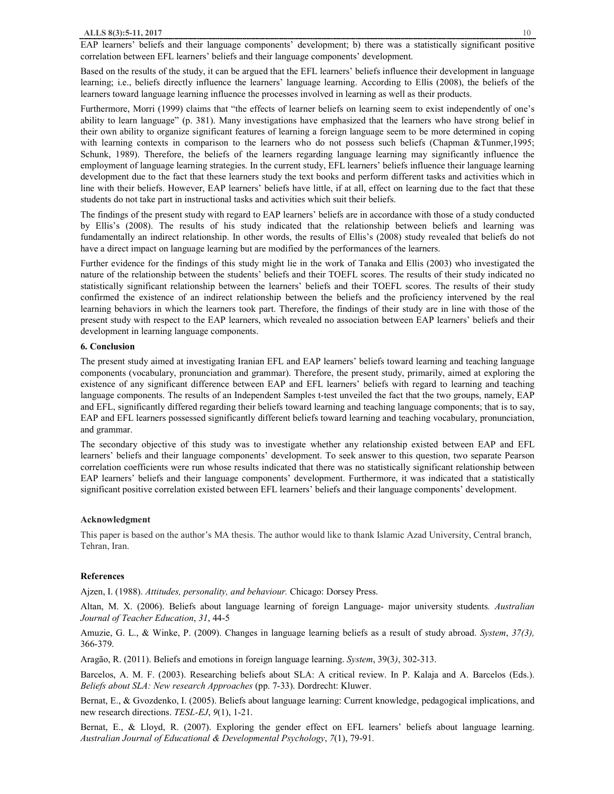EAP learners' beliefs and their language components' development; b) there was a statistically significant positive correlation between EFL learners' beliefs and their language components' development.

Based on the results of the study, it can be argued that the EFL learners' beliefs influence their development in language learning; i.e., beliefs directly influence the learners' language learning. According to Ellis (2008), the beliefs of the learners toward language learning influence the processes involved in learning as well as their products.

Furthermore, Morri (1999) claims that "the effects of learner beliefs on learning seem to exist independently of one's ability to learn language" (p. 381). Many investigations have emphasized that the learners who have strong belief in their own ability to organize significant features of learning a foreign language seem to be more determined in coping with learning contexts in comparison to the learners who do not possess such beliefs (Chapman &Tunmer,1995; Schunk, 1989). Therefore, the beliefs of the learners regarding language learning may significantly influence the employment of language learning strategies. In the current study, EFL learners' beliefs influence their language learning development due to the fact that these learners study the text books and perform different tasks and activities which in line with their beliefs. However, EAP learners' beliefs have little, if at all, effect on learning due to the fact that these students do not take part in instructional tasks and activities which suit their beliefs.

The findings of the present study with regard to EAP learners' beliefs are in accordance with those of a study conducted by Ellis's (2008). The results of his study indicated that the relationship between beliefs and learning was fundamentally an indirect relationship. In other words, the results of Ellis's (2008) study revealed that beliefs do not have a direct impact on language learning but are modified by the performances of the learners.

Further evidence for the findings of this study might lie in the work of Tanaka and Ellis (2003) who investigated the nature of the relationship between the students' beliefs and their TOEFL scores. The results of their study indicated no statistically significant relationship between the learners' beliefs and their TOEFL scores. The results of their study confirmed the existence of an indirect relationship between the beliefs and the proficiency intervened by the real learning behaviors in which the learners took part. Therefore, the findings of their study are in line with those of the present study with respect to the EAP learners, which revealed no association between EAP learners' beliefs and their development in learning language components.

## **6. Conclusion**

The present study aimed at investigating Iranian EFL and EAP learners' beliefs toward learning and teaching language components (vocabulary, pronunciation and grammar). Therefore, the present study, primarily, aimed at exploring the existence of any significant difference between EAP and EFL learners' beliefs with regard to learning and teaching language components. The results of an Independent Samples t-test unveiled the fact that the two groups, namely, EAP and EFL, significantly differed regarding their beliefs toward learning and teaching language components; that is to say, EAP and EFL learners possessed significantly different beliefs toward learning and teaching vocabulary, pronunciation, and grammar.

The secondary objective of this study was to investigate whether any relationship existed between EAP and EFL learners' beliefs and their language components' development. To seek answer to this question, two separate Pearson correlation coefficients were run whose results indicated that there was no statistically significant relationship between EAP learners' beliefs and their language components' development. Furthermore, it was indicated that a statistically significant positive correlation existed between EFL learners' beliefs and their language components' development.

#### **Acknowledgment**

This paper is based on the author's MA thesis. The author would like to thank Islamic Azad University, Central branch, Tehran, Iran.

# **References**

Ajzen, I. (1988). *Attitudes, personality, and behaviour.* Chicago: Dorsey Press.

Altan, M. X. (2006). Beliefs about language learning of foreign Language- major university students*. Australian Journal of Teacher Education*, *31*, 44-5

Amuzie, G. L., & Winke, P. (2009). Changes in language learning beliefs as a result of study abroad. *System*, *37(3),* 366-379.

Aragão, R. (2011). Beliefs and emotions in foreign language learning. *System*, 39(3*)*, 302-313.

Barcelos, A. M. F. (2003). Researching beliefs about SLA: A critical review. In P. Kalaja and A. Barcelos (Eds.). *Beliefs about SLA: New research Approaches* (pp. 7-33). Dordrecht: Kluwer.

Bernat, E., & Gvozdenko, I. (2005). Beliefs about language learning: Current knowledge, pedagogical implications, and new research directions. *TESL-EJ*, *9*(1), 1-21.

Bernat, E., & Lloyd, R. (2007). Exploring the gender effect on EFL learners' beliefs about language learning. *Australian Journal of Educational & Developmental Psychology*, *7*(1), 79-91.